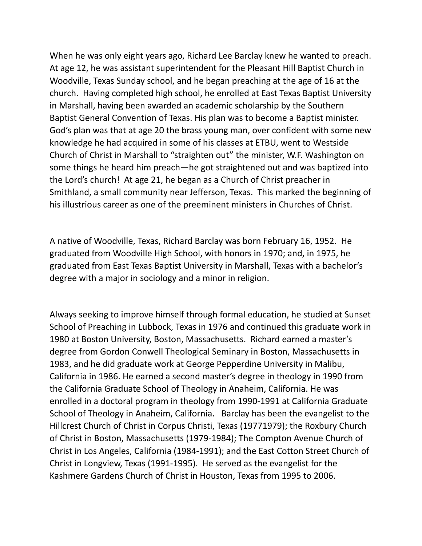When he was only eight years ago, Richard Lee Barclay knew he wanted to preach. At age 12, he was assistant superintendent for the Pleasant Hill Baptist Church in Woodville, Texas Sunday school, and he began preaching at the age of 16 at the church. Having completed high school, he enrolled at East Texas Baptist University in Marshall, having been awarded an academic scholarship by the Southern Baptist General Convention of Texas. His plan was to become a Baptist minister. God's plan was that at age 20 the brass young man, over confident with some new knowledge he had acquired in some of his classes at ETBU, went to Westside Church of Christ in Marshall to "straighten out" the minister, W.F. Washington on some things he heard him preach—he got straightened out and was baptized into the Lord's church! At age 21, he began as a Church of Christ preacher in Smithland, a small community near Jefferson, Texas. This marked the beginning of his illustrious career as one of the preeminent ministers in Churches of Christ.

A native of Woodville, Texas, Richard Barclay was born February 16, 1952. He graduated from Woodville High School, with honors in 1970; and, in 1975, he graduated from East Texas Baptist University in Marshall, Texas with a bachelor's degree with a major in sociology and a minor in religion.

Always seeking to improve himself through formal education, he studied at Sunset School of Preaching in Lubbock, Texas in 1976 and continued this graduate work in 1980 at Boston University, Boston, Massachusetts. Richard earned a master's degree from Gordon Conwell Theological Seminary in Boston, Massachusetts in 1983, and he did graduate work at George Pepperdine University in Malibu, California in 1986. He earned a second master's degree in theology in 1990 from the California Graduate School of Theology in Anaheim, California. He was enrolled in a doctoral program in theology from 1990-1991 at California Graduate School of Theology in Anaheim, California. Barclay has been the evangelist to the Hillcrest Church of Christ in Corpus Christi, Texas (19771979); the Roxbury Church of Christ in Boston, Massachusetts (1979-1984); The Compton Avenue Church of Christ in Los Angeles, California (1984-1991); and the East Cotton Street Church of Christ in Longview, Texas (1991-1995). He served as the evangelist for the Kashmere Gardens Church of Christ in Houston, Texas from 1995 to 2006.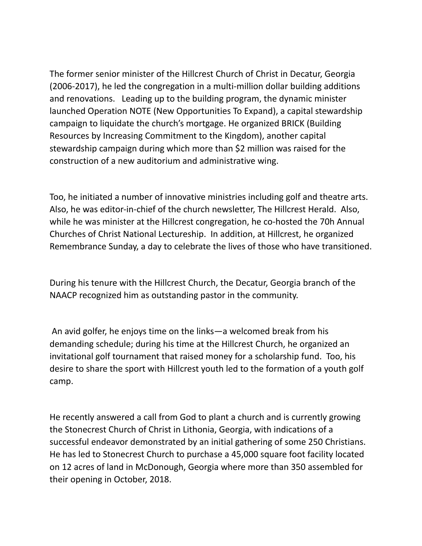The former senior minister of the Hillcrest Church of Christ in Decatur, Georgia (2006-2017), he led the congregation in a multi-million dollar building additions and renovations. Leading up to the building program, the dynamic minister launched Operation NOTE (New Opportunities To Expand), a capital stewardship campaign to liquidate the church's mortgage. He organized BRICK (Building Resources by Increasing Commitment to the Kingdom), another capital stewardship campaign during which more than \$2 million was raised for the construction of a new auditorium and administrative wing.

Too, he initiated a number of innovative ministries including golf and theatre arts. Also, he was editor-in-chief of the church newsletter, The Hillcrest Herald. Also, while he was minister at the Hillcrest congregation, he co-hosted the 70h Annual Churches of Christ National Lectureship. In addition, at Hillcrest, he organized Remembrance Sunday, a day to celebrate the lives of those who have transitioned.

During his tenure with the Hillcrest Church, the Decatur, Georgia branch of the NAACP recognized him as outstanding pastor in the community.

An avid golfer, he enjoys time on the links—a welcomed break from his demanding schedule; during his time at the Hillcrest Church, he organized an invitational golf tournament that raised money for a scholarship fund. Too, his desire to share the sport with Hillcrest youth led to the formation of a youth golf camp.

He recently answered a call from God to plant a church and is currently growing the Stonecrest Church of Christ in Lithonia, Georgia, with indications of a successful endeavor demonstrated by an initial gathering of some 250 Christians. He has led to Stonecrest Church to purchase a 45,000 square foot facility located on 12 acres of land in McDonough, Georgia where more than 350 assembled for their opening in October, 2018.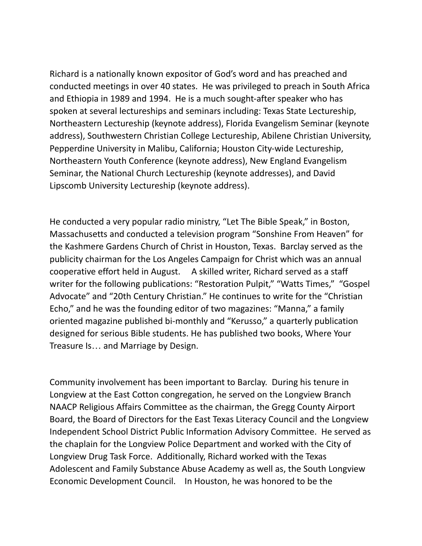Richard is a nationally known expositor of God's word and has preached and conducted meetings in over 40 states. He was privileged to preach in South Africa and Ethiopia in 1989 and 1994. He is a much sought-after speaker who has spoken at several lectureships and seminars including: Texas State Lectureship, Northeastern Lectureship (keynote address), Florida Evangelism Seminar (keynote address), Southwestern Christian College Lectureship, Abilene Christian University, Pepperdine University in Malibu, California; Houston City-wide Lectureship, Northeastern Youth Conference (keynote address), New England Evangelism Seminar, the National Church Lectureship (keynote addresses), and David Lipscomb University Lectureship (keynote address).

He conducted a very popular radio ministry, "Let The Bible Speak," in Boston, Massachusetts and conducted a television program "Sonshine From Heaven" for the Kashmere Gardens Church of Christ in Houston, Texas. Barclay served as the publicity chairman for the Los Angeles Campaign for Christ which was an annual cooperative effort held in August. A skilled writer, Richard served as a staff writer for the following publications: "Restoration Pulpit," "Watts Times," "Gospel Advocate" and "20th Century Christian." He continues to write for the "Christian Echo," and he was the founding editor of two magazines: "Manna," a family oriented magazine published bi-monthly and "Kerusso," a quarterly publication designed for serious Bible students. He has published two books, Where Your Treasure Is… and Marriage by Design.

Community involvement has been important to Barclay. During his tenure in Longview at the East Cotton congregation, he served on the Longview Branch NAACP Religious Affairs Committee as the chairman, the Gregg County Airport Board, the Board of Directors for the East Texas Literacy Council and the Longview Independent School District Public Information Advisory Committee. He served as the chaplain for the Longview Police Department and worked with the City of Longview Drug Task Force. Additionally, Richard worked with the Texas Adolescent and Family Substance Abuse Academy as well as, the South Longview Economic Development Council. In Houston, he was honored to be the